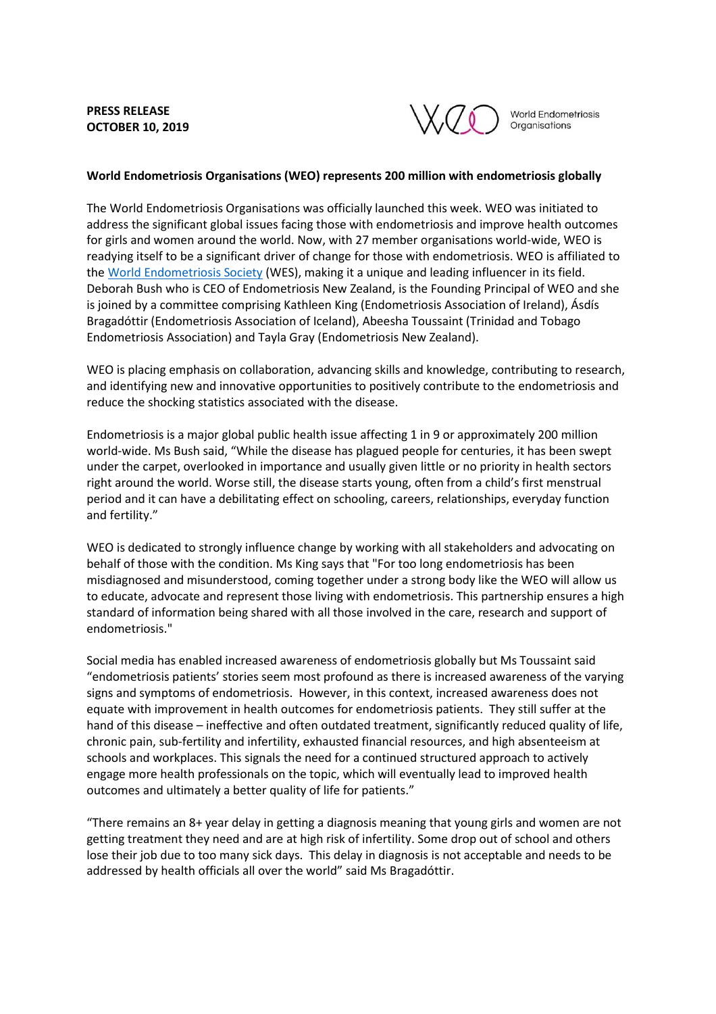**PRESS RELEASE OCTOBER 10, 2019**



World Endometriosis Organisations

**World Endometriosis Organisations (WEO) represents 200 million with endometriosis globally** 

The World Endometriosis Organisations was officially launched this week. WEO was initiated to address the significant global issues facing those with endometriosis and improve health outcomes for girls and women around the world. Now, with 27 member organisations world-wide, WEO is readying itself to be a significant driver of change for those with endometriosis. WEO is affiliated to th[e World Endometriosis Society](https://endometriosis.ca/) (WES), making it a unique and leading influencer in its field. Deborah Bush who is CEO of Endometriosis New Zealand, is the Founding Principal of WEO and she is joined by a committee comprising Kathleen King (Endometriosis Association of Ireland), Ásdís Bragadóttir (Endometriosis Association of Iceland), Abeesha Toussaint (Trinidad and Tobago Endometriosis Association) and Tayla Gray (Endometriosis New Zealand).

WEO is placing emphasis on collaboration, advancing skills and knowledge, contributing to research, and identifying new and innovative opportunities to positively contribute to the endometriosis and reduce the shocking statistics associated with the disease.

Endometriosis is a major global public health issue affecting 1 in 9 or approximately 200 million world-wide. Ms Bush said, "While the disease has plagued people for centuries, it has been swept under the carpet, overlooked in importance and usually given little or no priority in health sectors right around the world. Worse still, the disease starts young, often from a child's first menstrual period and it can have a debilitating effect on schooling, careers, relationships, everyday function and fertility."

WEO is dedicated to strongly influence change by working with all stakeholders and advocating on behalf of those with the condition. Ms King says that "For too long endometriosis has been misdiagnosed and misunderstood, coming together under a strong body like the WEO will allow us to educate, advocate and represent those living with endometriosis. This partnership ensures a high standard of information being shared with all those involved in the care, research and support of endometriosis."

Social media has enabled increased awareness of endometriosis globally but Ms Toussaint said "endometriosis patients' stories seem most profound as there is increased awareness of the varying signs and symptoms of endometriosis. However, in this context, increased awareness does not equate with improvement in health outcomes for endometriosis patients. They still suffer at the hand of this disease – ineffective and often outdated treatment, significantly reduced quality of life, chronic pain, sub-fertility and infertility, exhausted financial resources, and high absenteeism at schools and workplaces. This signals the need for a continued structured approach to actively engage more health professionals on the topic, which will eventually lead to improved health outcomes and ultimately a better quality of life for patients."

"There remains an 8+ year delay in getting a diagnosis meaning that young girls and women are not getting treatment they need and are at high risk of infertility. Some drop out of school and others lose their job due to too many sick days. This delay in diagnosis is not acceptable and needs to be addressed by health officials all over the world" said Ms Bragadóttir.